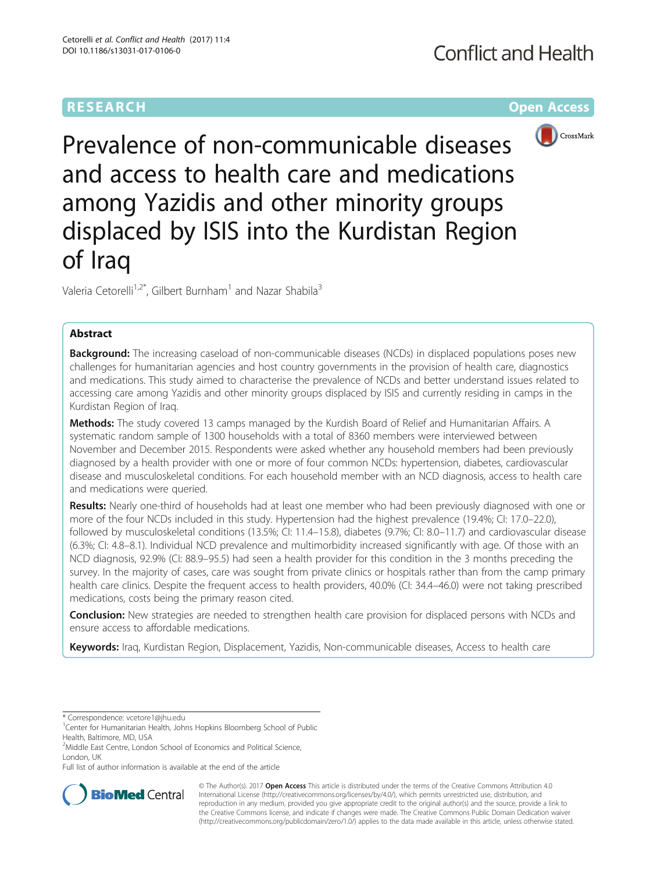# **RESEARCH CHE Open Access**



Prevalence of non-communicable diseases and access to health care and medications among Yazidis and other minority groups displaced by ISIS into the Kurdistan Region of Iraq

Valeria Cetorelli<sup>1,2\*</sup>, Gilbert Burnham<sup>1</sup> and Nazar Shabila<sup>3</sup>

# Abstract

**Background:** The increasing caseload of non-communicable diseases (NCDs) in displaced populations poses new challenges for humanitarian agencies and host country governments in the provision of health care, diagnostics and medications. This study aimed to characterise the prevalence of NCDs and better understand issues related to accessing care among Yazidis and other minority groups displaced by ISIS and currently residing in camps in the Kurdistan Region of Iraq.

Methods: The study covered 13 camps managed by the Kurdish Board of Relief and Humanitarian Affairs. A systematic random sample of 1300 households with a total of 8360 members were interviewed between November and December 2015. Respondents were asked whether any household members had been previously diagnosed by a health provider with one or more of four common NCDs: hypertension, diabetes, cardiovascular disease and musculoskeletal conditions. For each household member with an NCD diagnosis, access to health care and medications were queried.

Results: Nearly one-third of households had at least one member who had been previously diagnosed with one or more of the four NCDs included in this study. Hypertension had the highest prevalence (19.4%; CI: 17.0–22.0), followed by musculoskeletal conditions (13.5%; CI: 11.4–15.8), diabetes (9.7%; CI: 8.0–11.7) and cardiovascular disease (6.3%; CI: 4.8–8.1). Individual NCD prevalence and multimorbidity increased significantly with age. Of those with an NCD diagnosis, 92.9% (CI: 88.9–95.5) had seen a health provider for this condition in the 3 months preceding the survey. In the majority of cases, care was sought from private clinics or hospitals rather than from the camp primary health care clinics. Despite the frequent access to health providers, 40.0% (CI: 34.4–46.0) were not taking prescribed medications, costs being the primary reason cited.

**Conclusion:** New strategies are needed to strengthen health care provision for displaced persons with NCDs and ensure access to affordable medications.

Keywords: Iraq, Kurdistan Region, Displacement, Yazidis, Non-communicable diseases, Access to health care

\* Correspondence: [vcetore1@jhu.edu](mailto:vcetore1@jhu.edu) <sup>1</sup>

<sup>1</sup>Center for Humanitarian Health, Johns Hopkins Bloomberg School of Public Health, Baltimore, MD, USA

Full list of author information is available at the end of the article



© The Author(s). 2017 **Open Access** This article is distributed under the terms of the Creative Commons Attribution 4.0 International License [\(http://creativecommons.org/licenses/by/4.0/](http://creativecommons.org/licenses/by/4.0/)), which permits unrestricted use, distribution, and reproduction in any medium, provided you give appropriate credit to the original author(s) and the source, provide a link to the Creative Commons license, and indicate if changes were made. The Creative Commons Public Domain Dedication waiver [\(http://creativecommons.org/publicdomain/zero/1.0/](http://creativecommons.org/publicdomain/zero/1.0/)) applies to the data made available in this article, unless otherwise stated.

<sup>&</sup>lt;sup>2</sup>Middle East Centre, London School of Economics and Political Science, London, UK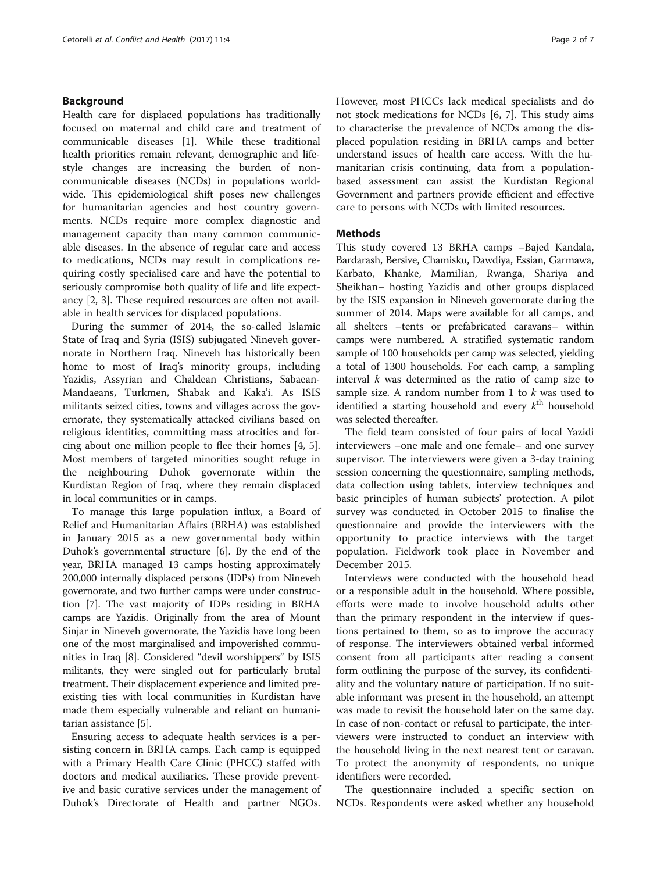# Background

Health care for displaced populations has traditionally focused on maternal and child care and treatment of communicable diseases [\[1](#page-6-0)]. While these traditional health priorities remain relevant, demographic and lifestyle changes are increasing the burden of noncommunicable diseases (NCDs) in populations worldwide. This epidemiological shift poses new challenges for humanitarian agencies and host country governments. NCDs require more complex diagnostic and management capacity than many common communicable diseases. In the absence of regular care and access to medications, NCDs may result in complications requiring costly specialised care and have the potential to seriously compromise both quality of life and life expectancy [[2, 3\]](#page-6-0). These required resources are often not available in health services for displaced populations.

During the summer of 2014, the so-called Islamic State of Iraq and Syria (ISIS) subjugated Nineveh governorate in Northern Iraq. Nineveh has historically been home to most of Iraq's minority groups, including Yazidis, Assyrian and Chaldean Christians, Sabaean-Mandaeans, Turkmen, Shabak and Kaka'i. As ISIS militants seized cities, towns and villages across the governorate, they systematically attacked civilians based on religious identities, committing mass atrocities and forcing about one million people to flee their homes [[4, 5](#page-6-0)]. Most members of targeted minorities sought refuge in the neighbouring Duhok governorate within the Kurdistan Region of Iraq, where they remain displaced in local communities or in camps.

To manage this large population influx, a Board of Relief and Humanitarian Affairs (BRHA) was established in January 2015 as a new governmental body within Duhok's governmental structure [\[6\]](#page-6-0). By the end of the year, BRHA managed 13 camps hosting approximately 200,000 internally displaced persons (IDPs) from Nineveh governorate, and two further camps were under construction [[7\]](#page-6-0). The vast majority of IDPs residing in BRHA camps are Yazidis. Originally from the area of Mount Sinjar in Nineveh governorate, the Yazidis have long been one of the most marginalised and impoverished communities in Iraq [\[8](#page-6-0)]. Considered "devil worshippers" by ISIS militants, they were singled out for particularly brutal treatment. Their displacement experience and limited preexisting ties with local communities in Kurdistan have made them especially vulnerable and reliant on humanitarian assistance [\[5](#page-6-0)].

Ensuring access to adequate health services is a persisting concern in BRHA camps. Each camp is equipped with a Primary Health Care Clinic (PHCC) staffed with doctors and medical auxiliaries. These provide preventive and basic curative services under the management of Duhok's Directorate of Health and partner NGOs. However, most PHCCs lack medical specialists and do not stock medications for NCDs [[6, 7](#page-6-0)]. This study aims to characterise the prevalence of NCDs among the displaced population residing in BRHA camps and better understand issues of health care access. With the humanitarian crisis continuing, data from a populationbased assessment can assist the Kurdistan Regional Government and partners provide efficient and effective care to persons with NCDs with limited resources.

# **Methods**

This study covered 13 BRHA camps –Bajed Kandala, Bardarash, Bersive, Chamisku, Dawdiya, Essian, Garmawa, Karbato, Khanke, Mamilian, Rwanga, Shariya and Sheikhan– hosting Yazidis and other groups displaced by the ISIS expansion in Nineveh governorate during the summer of 2014. Maps were available for all camps, and all shelters –tents or prefabricated caravans– within camps were numbered. A stratified systematic random sample of 100 households per camp was selected, yielding a total of 1300 households. For each camp, a sampling interval  $k$  was determined as the ratio of camp size to sample size. A random number from 1 to  $k$  was used to identified a starting household and every  $k^{\text{th}}$  household was selected thereafter.

The field team consisted of four pairs of local Yazidi interviewers –one male and one female– and one survey supervisor. The interviewers were given a 3-day training session concerning the questionnaire, sampling methods, data collection using tablets, interview techniques and basic principles of human subjects' protection. A pilot survey was conducted in October 2015 to finalise the questionnaire and provide the interviewers with the opportunity to practice interviews with the target population. Fieldwork took place in November and December 2015.

Interviews were conducted with the household head or a responsible adult in the household. Where possible, efforts were made to involve household adults other than the primary respondent in the interview if questions pertained to them, so as to improve the accuracy of response. The interviewers obtained verbal informed consent from all participants after reading a consent form outlining the purpose of the survey, its confidentiality and the voluntary nature of participation. If no suitable informant was present in the household, an attempt was made to revisit the household later on the same day. In case of non-contact or refusal to participate, the interviewers were instructed to conduct an interview with the household living in the next nearest tent or caravan. To protect the anonymity of respondents, no unique identifiers were recorded.

The questionnaire included a specific section on NCDs. Respondents were asked whether any household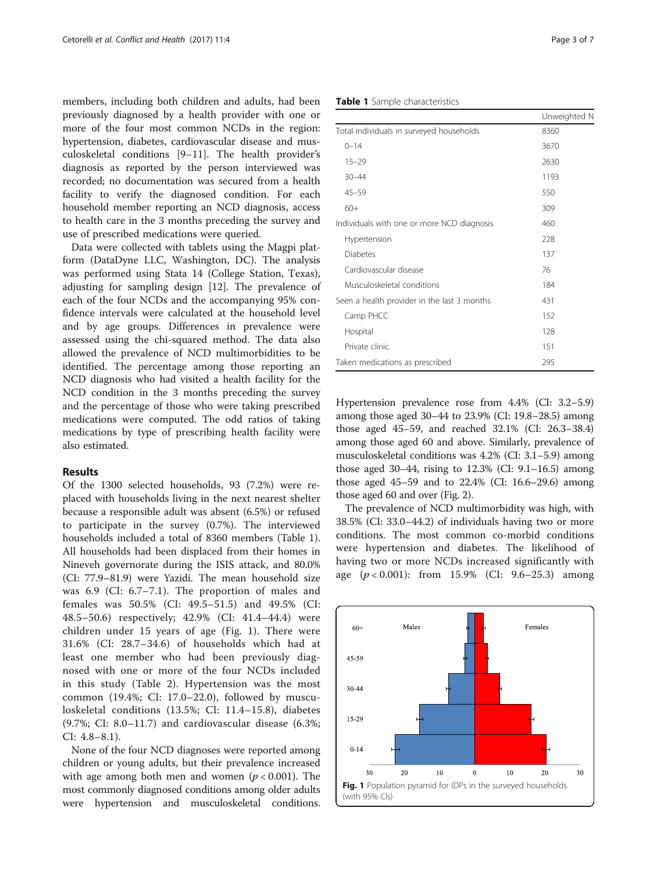members, including both children and adults, had been previously diagnosed by a health provider with one or more of the four most common NCDs in the region: hypertension, diabetes, cardiovascular disease and musculoskeletal conditions [[9](#page-6-0)–[11](#page-6-0)]. The health provider's diagnosis as reported by the person interviewed was recorded; no documentation was secured from a health facility to verify the diagnosed condition. For each household member reporting an NCD diagnosis, access to health care in the 3 months preceding the survey and use of prescribed medications were queried.

Data were collected with tablets using the Magpi platform (DataDyne LLC, Washington, DC). The analysis was performed using Stata 14 (College Station, Texas), adjusting for sampling design [\[12](#page-6-0)]. The prevalence of each of the four NCDs and the accompanying 95% confidence intervals were calculated at the household level and by age groups. Differences in prevalence were assessed using the chi-squared method. The data also allowed the prevalence of NCD multimorbidities to be identified. The percentage among those reporting an NCD diagnosis who had visited a health facility for the NCD condition in the 3 months preceding the survey and the percentage of those who were taking prescribed medications were computed. The odd ratios of taking medications by type of prescribing health facility were also estimated.

# Results

Of the 1300 selected households, 93 (7.2%) were replaced with households living in the next nearest shelter because a responsible adult was absent (6.5%) or refused to participate in the survey (0.7%). The interviewed households included a total of 8360 members (Table 1). All households had been displaced from their homes in Nineveh governorate during the ISIS attack, and 80.0% (CI: 77.9–81.9) were Yazidi. The mean household size was 6.9 (CI: 6.7–7.1). The proportion of males and females was 50.5% (CI: 49.5–51.5) and 49.5% (CI: 48.5–50.6) respectively; 42.9% (CI: 41.4–44.4) were children under 15 years of age (Fig. 1). There were 31.6% (CI: 28.7–34.6) of households which had at least one member who had been previously diagnosed with one or more of the four NCDs included in this study (Table [2](#page-3-0)). Hypertension was the most common (19.4%; CI: 17.0–22.0), followed by musculoskeletal conditions (13.5%; CI: 11.4–15.8), diabetes (9.7%; CI: 8.0–11.7) and cardiovascular disease (6.3%; CI: 4.8–8.1).

None of the four NCD diagnoses were reported among children or young adults, but their prevalence increased with age among both men and women ( $p < 0.001$ ). The most commonly diagnosed conditions among older adults were hypertension and musculoskeletal conditions.

Table 1 Sample characteristics

|                                             | Unweighted N |
|---------------------------------------------|--------------|
| Total individuals in surveyed households    | 8360         |
| $0 - 14$                                    | 3670         |
| $15 - 29$                                   | 2630         |
| $30 - 44$                                   | 1193         |
| $45 - 59$                                   | 550          |
| $60+$                                       | 309          |
| Individuals with one or more NCD diagnosis  | 460          |
| Hypertension                                | 228          |
| <b>Diabetes</b>                             | 137          |
| Cardiovascular disease                      | 76           |
| Musculoskeletal conditions                  | 184          |
| Seen a health provider in the last 3 months | 431          |
| Camp PHCC                                   | 152          |
| Hospital                                    | 128          |
| Private clinic                              | 151          |
| Taken medications as prescribed             | 295          |

Hypertension prevalence rose from 4.4% (CI: 3.2–5.9) among those aged 30–44 to 23.9% (CI: 19.8–28.5) among those aged 45–59, and reached 32.1% (CI: 26.3–38.4) among those aged 60 and above. Similarly, prevalence of musculoskeletal conditions was 4.2% (CI: 3.1–5.9) among those aged 30–44, rising to 12.3% (CI: 9.1–16.5) among those aged 45–59 and to 22.4% (CI: 16.6–29.6) among those aged 60 and over (Fig. [2](#page-3-0)).

The prevalence of NCD multimorbidity was high, with 38.5% (CI: 33.0–44.2) of individuals having two or more conditions. The most common co-morbid conditions were hypertension and diabetes. The likelihood of having two or more NCDs increased significantly with age  $(p < 0.001)$ : from 15.9% (CI: 9.6–25.3) among

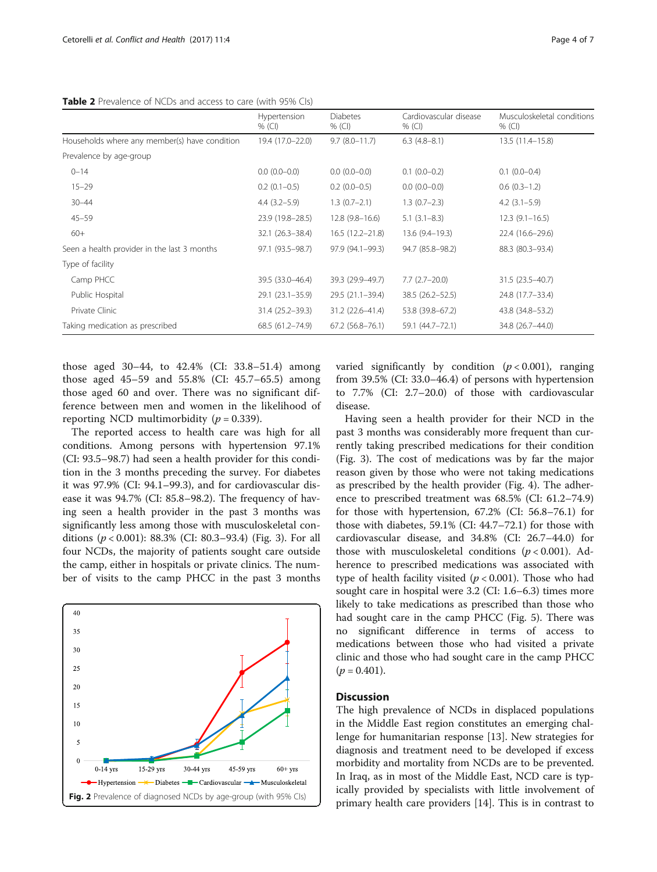<span id="page-3-0"></span>

|                                               | Hypertension<br>$%$ (CI) | <b>Diabetes</b><br>% $(Cl)$ | Cardiovascular disease<br>% (Cl) | Musculoskeletal conditions<br>$%$ (CI) |
|-----------------------------------------------|--------------------------|-----------------------------|----------------------------------|----------------------------------------|
| Households where any member(s) have condition | 19.4 (17.0-22.0)         | $9.7(8.0-11.7)$             | $6.3(4.8-8.1)$                   | 13.5 (11.4-15.8)                       |
| Prevalence by age-group                       |                          |                             |                                  |                                        |
| $0 - 14$                                      | $0.0(0.0-0.0)$           | $0.0(0.0-0.0)$              | $0.1(0.0-0.2)$                   | $0.1(0.0-0.4)$                         |
| $15 - 29$                                     | $0.2(0.1-0.5)$           | $0.2(0.0-0.5)$              | $0.0(0.0-0.0)$                   | $0.6(0.3-1.2)$                         |
| $30 - 44$                                     | $4.4(3.2-5.9)$           | $1.3(0.7-2.1)$              | $1.3(0.7-2.3)$                   | $4.2$ $(3.1-5.9)$                      |
| $45 - 59$                                     | 23.9 (19.8-28.5)         | $12.8(9.8-16.6)$            | $5.1(3.1-8.3)$                   | $12.3(9.1-16.5)$                       |
| $60+$                                         | $32.1 (26.3 - 38.4)$     | $16.5(12.2 - 21.8)$         | 13.6 (9.4-19.3)                  | 22.4 (16.6-29.6)                       |
| Seen a health provider in the last 3 months   | 97.1 (93.5–98.7)         | 97.9 (94.1-99.3)            | 94.7 (85.8-98.2)                 | 88.3 (80.3-93.4)                       |
| Type of facility                              |                          |                             |                                  |                                        |
| Camp PHCC                                     | 39.5 (33.0-46.4)         | 39.3 (29.9-49.7)            | $7.7(2.7-20.0)$                  | 31.5 (23.5-40.7)                       |
| Public Hospital                               | $29.1(23.1 - 35.9)$      | 29.5 (21.1-39.4)            | 38.5 (26.2-52.5)                 | 24.8 (17.7-33.4)                       |
| Private Clinic                                | 31.4 (25.2–39.3)         | 31.2 (22.6-41.4)            | 53.8 (39.8-67.2)                 | 43.8 (34.8–53.2)                       |
| Taking medication as prescribed               | $68.5(61.2 - 74.9)$      | $67.2$ $(56.8 - 76.1)$      | 59.1 (44.7-72.1)                 | 34.8 (26.7-44.0)                       |

those aged 30–44, to 42.4% (CI: 33.8–51.4) among those aged 45–59 and 55.8% (CI: 45.7–65.5) among those aged 60 and over. There was no significant difference between men and women in the likelihood of reporting NCD multimorbidity ( $p = 0.339$ ).

The reported access to health care was high for all conditions. Among persons with hypertension 97.1% (CI: 93.5–98.7) had seen a health provider for this condition in the 3 months preceding the survey. For diabetes it was 97.9% (CI: 94.1–99.3), and for cardiovascular disease it was 94.7% (CI: 85.8–98.2). The frequency of having seen a health provider in the past 3 months was significantly less among those with musculoskeletal conditions ( $p < 0.001$ ): 88.3% (CI: 80.3–93.4) (Fig. [3\)](#page-4-0). For all four NCDs, the majority of patients sought care outside the camp, either in hospitals or private clinics. The number of visits to the camp PHCC in the past 3 months



varied significantly by condition  $(p < 0.001)$ , ranging from 39.5% (CI: 33.0–46.4) of persons with hypertension to 7.7% (CI: 2.7–20.0) of those with cardiovascular disease.

Having seen a health provider for their NCD in the past 3 months was considerably more frequent than currently taking prescribed medications for their condition (Fig. [3\)](#page-4-0). The cost of medications was by far the major reason given by those who were not taking medications as prescribed by the health provider (Fig. [4\)](#page-4-0). The adherence to prescribed treatment was 68.5% (CI: 61.2–74.9) for those with hypertension, 67.2% (CI: 56.8–76.1) for those with diabetes, 59.1% (CI: 44.7–72.1) for those with cardiovascular disease, and 34.8% (CI: 26.7–44.0) for those with musculoskeletal conditions ( $p < 0.001$ ). Adherence to prescribed medications was associated with type of health facility visited ( $p < 0.001$ ). Those who had sought care in hospital were 3.2 (CI: 1.6–6.3) times more likely to take medications as prescribed than those who had sought care in the camp PHCC (Fig. [5](#page-5-0)). There was no significant difference in terms of access to medications between those who had visited a private clinic and those who had sought care in the camp PHCC  $(p = 0.401)$ .

# **Discussion**

The high prevalence of NCDs in displaced populations in the Middle East region constitutes an emerging challenge for humanitarian response [[13\]](#page-6-0). New strategies for diagnosis and treatment need to be developed if excess morbidity and mortality from NCDs are to be prevented. In Iraq, as in most of the Middle East, NCD care is typically provided by specialists with little involvement of primary health care providers [\[14](#page-6-0)]. This is in contrast to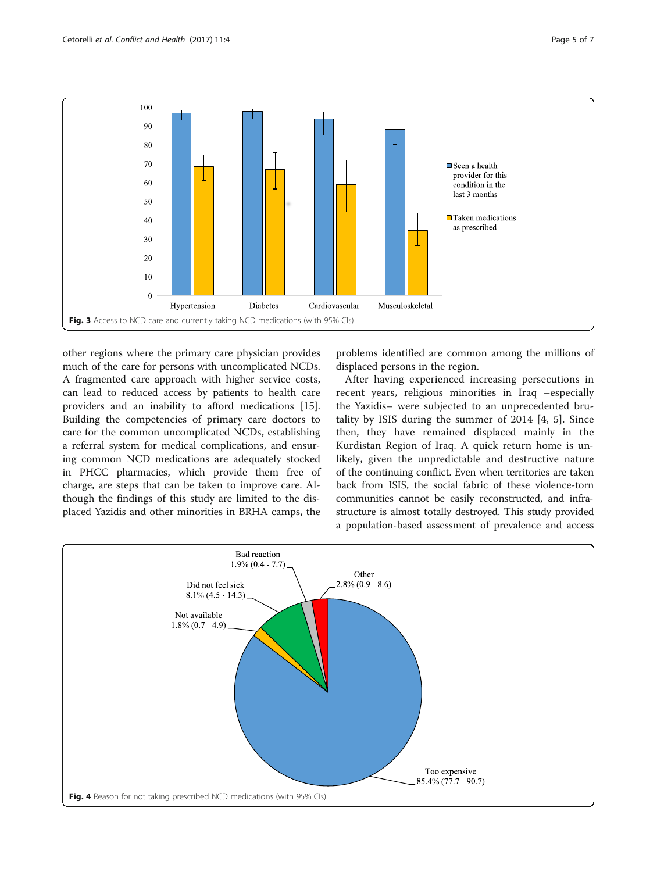<span id="page-4-0"></span>

other regions where the primary care physician provides much of the care for persons with uncomplicated NCDs. A fragmented care approach with higher service costs, can lead to reduced access by patients to health care providers and an inability to afford medications [\[15](#page-6-0)]. Building the competencies of primary care doctors to care for the common uncomplicated NCDs, establishing a referral system for medical complications, and ensuring common NCD medications are adequately stocked in PHCC pharmacies, which provide them free of charge, are steps that can be taken to improve care. Although the findings of this study are limited to the displaced Yazidis and other minorities in BRHA camps, the

problems identified are common among the millions of displaced persons in the region.

After having experienced increasing persecutions in recent years, religious minorities in Iraq –especially the Yazidis– were subjected to an unprecedented brutality by ISIS during the summer of 2014 [[4, 5\]](#page-6-0). Since then, they have remained displaced mainly in the Kurdistan Region of Iraq. A quick return home is unlikely, given the unpredictable and destructive nature of the continuing conflict. Even when territories are taken back from ISIS, the social fabric of these violence-torn communities cannot be easily reconstructed, and infrastructure is almost totally destroyed. This study provided a population-based assessment of prevalence and access

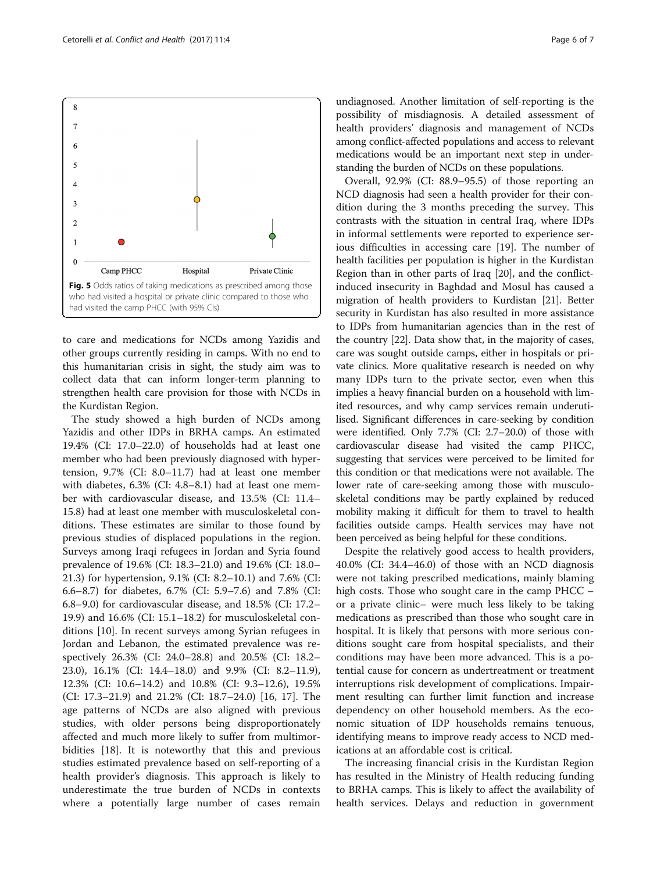<span id="page-5-0"></span>

to care and medications for NCDs among Yazidis and other groups currently residing in camps. With no end to this humanitarian crisis in sight, the study aim was to collect data that can inform longer-term planning to strengthen health care provision for those with NCDs in the Kurdistan Region.

The study showed a high burden of NCDs among Yazidis and other IDPs in BRHA camps. An estimated 19.4% (CI: 17.0–22.0) of households had at least one member who had been previously diagnosed with hypertension, 9.7% (CI: 8.0–11.7) had at least one member with diabetes, 6.3% (CI: 4.8–8.1) had at least one member with cardiovascular disease, and 13.5% (CI: 11.4– 15.8) had at least one member with musculoskeletal conditions. These estimates are similar to those found by previous studies of displaced populations in the region. Surveys among Iraqi refugees in Jordan and Syria found prevalence of 19.6% (CI: 18.3–21.0) and 19.6% (CI: 18.0– 21.3) for hypertension, 9.1% (CI: 8.2–10.1) and 7.6% (CI: 6.6–8.7) for diabetes, 6.7% (CI: 5.9–7.6) and 7.8% (CI: 6.8–9.0) for cardiovascular disease, and 18.5% (CI: 17.2– 19.9) and 16.6% (CI: 15.1–18.2) for musculoskeletal conditions [\[10\]](#page-6-0). In recent surveys among Syrian refugees in Jordan and Lebanon, the estimated prevalence was respectively 26.3% (CI: 24.0–28.8) and 20.5% (CI: 18.2– 23.0), 16.1% (CI: 14.4–18.0) and 9.9% (CI: 8.2–11.9), 12.3% (CI: 10.6–14.2) and 10.8% (CI: 9.3–12.6), 19.5% (CI: 17.3–21.9) and 21.2% (CI: 18.7–24.0) [\[16, 17\]](#page-6-0). The age patterns of NCDs are also aligned with previous studies, with older persons being disproportionately affected and much more likely to suffer from multimorbidities [[18\]](#page-6-0). It is noteworthy that this and previous studies estimated prevalence based on self-reporting of a health provider's diagnosis. This approach is likely to underestimate the true burden of NCDs in contexts where a potentially large number of cases remain

undiagnosed. Another limitation of self-reporting is the possibility of misdiagnosis. A detailed assessment of health providers' diagnosis and management of NCDs among conflict-affected populations and access to relevant medications would be an important next step in understanding the burden of NCDs on these populations.

Overall, 92.9% (CI: 88.9–95.5) of those reporting an NCD diagnosis had seen a health provider for their condition during the 3 months preceding the survey. This contrasts with the situation in central Iraq, where IDPs in informal settlements were reported to experience serious difficulties in accessing care [\[19\]](#page-6-0). The number of health facilities per population is higher in the Kurdistan Region than in other parts of Iraq [[20\]](#page-6-0), and the conflictinduced insecurity in Baghdad and Mosul has caused a migration of health providers to Kurdistan [[21](#page-6-0)]. Better security in Kurdistan has also resulted in more assistance to IDPs from humanitarian agencies than in the rest of the country [[22](#page-6-0)]. Data show that, in the majority of cases, care was sought outside camps, either in hospitals or private clinics. More qualitative research is needed on why many IDPs turn to the private sector, even when this implies a heavy financial burden on a household with limited resources, and why camp services remain underutilised. Significant differences in care-seeking by condition were identified. Only 7.7% (CI: 2.7–20.0) of those with cardiovascular disease had visited the camp PHCC, suggesting that services were perceived to be limited for this condition or that medications were not available. The lower rate of care-seeking among those with musculoskeletal conditions may be partly explained by reduced mobility making it difficult for them to travel to health facilities outside camps. Health services may have not been perceived as being helpful for these conditions.

Despite the relatively good access to health providers, 40.0% (CI: 34.4–46.0) of those with an NCD diagnosis were not taking prescribed medications, mainly blaming high costs. Those who sought care in the camp PHCC – or a private clinic– were much less likely to be taking medications as prescribed than those who sought care in hospital. It is likely that persons with more serious conditions sought care from hospital specialists, and their conditions may have been more advanced. This is a potential cause for concern as undertreatment or treatment interruptions risk development of complications. Impairment resulting can further limit function and increase dependency on other household members. As the economic situation of IDP households remains tenuous, identifying means to improve ready access to NCD medications at an affordable cost is critical.

The increasing financial crisis in the Kurdistan Region has resulted in the Ministry of Health reducing funding to BRHA camps. This is likely to affect the availability of health services. Delays and reduction in government